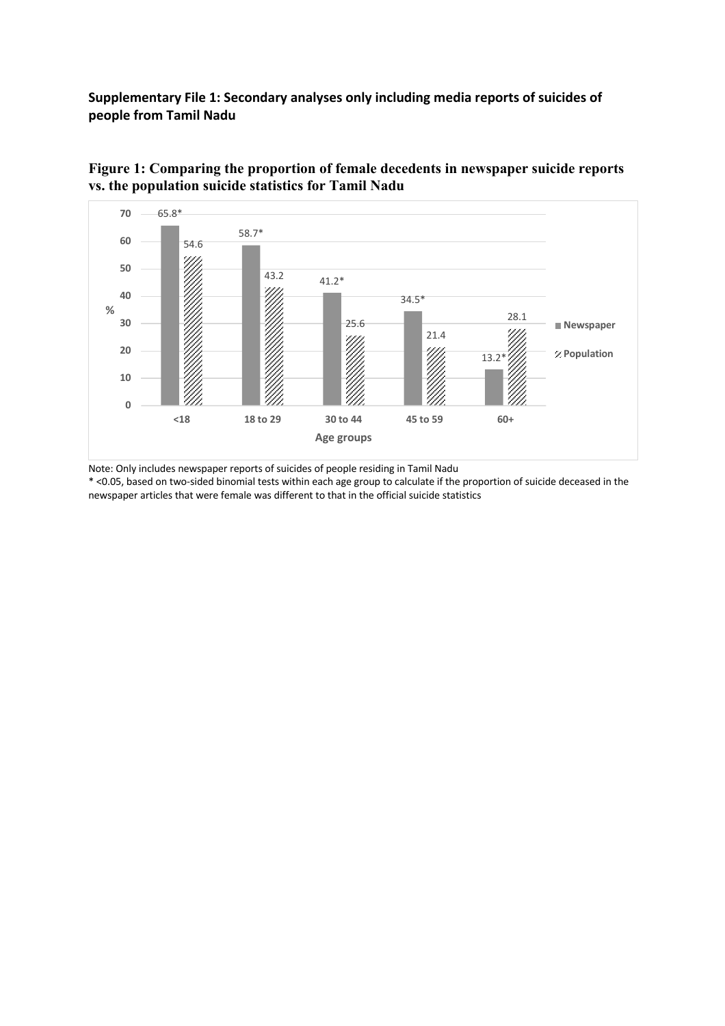**Supplementary File 1: Secondary analyses only including media reports of suicides of people from Tamil Nadu**



**Figure 1: Comparing the proportion of female decedents in newspaper suicide reports vs. the population suicide statistics for Tamil Nadu** 

Note: Only includes newspaper reports of suicides of people residing in Tamil Nadu

\* <0.05, based on two-sided binomial tests within each age group to calculate if the proportion of suicide deceased in the newspaper articles that were female was different to that in the official suicide statistics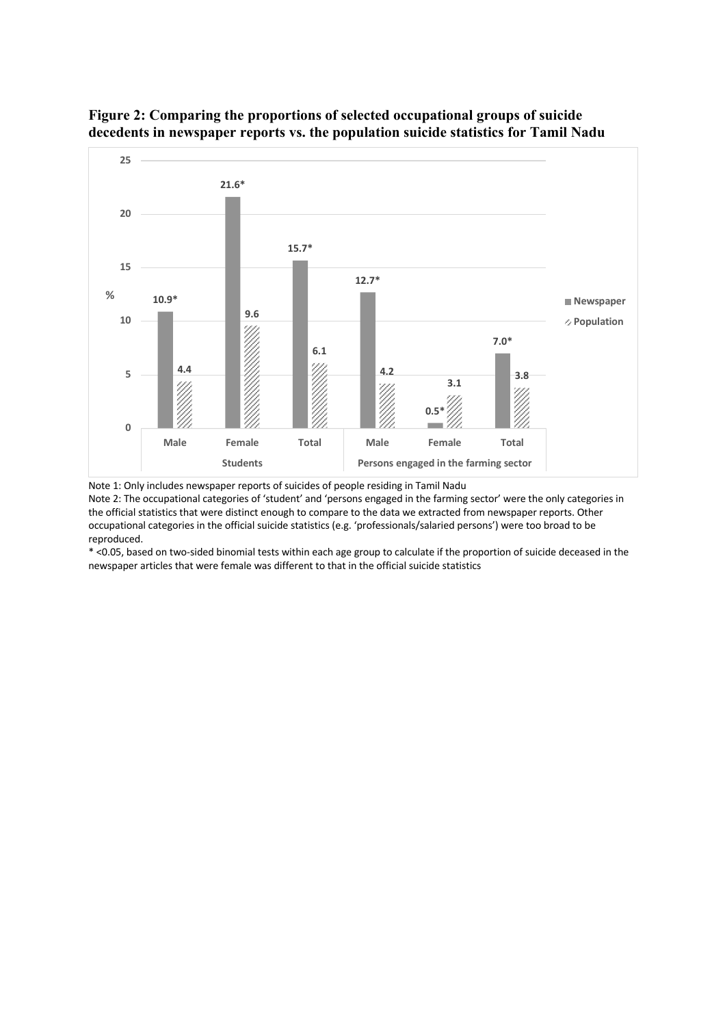

## **Figure 2: Comparing the proportions of selected occupational groups of suicide decedents in newspaper reports vs. the population suicide statistics for Tamil Nadu**

Note 1: Only includes newspaper reports of suicides of people residing in Tamil Nadu

Note 2: The occupational categories of 'student' and 'persons engaged in the farming sector' were the only categories in the official statistics that were distinct enough to compare to the data we extracted from newspaper reports. Other occupational categories in the official suicide statistics (e.g. 'professionals/salaried persons') were too broad to be reproduced.

\* <0.05, based on two-sided binomial tests within each age group to calculate if the proportion of suicide deceased in the newspaper articles that were female was different to that in the official suicide statistics